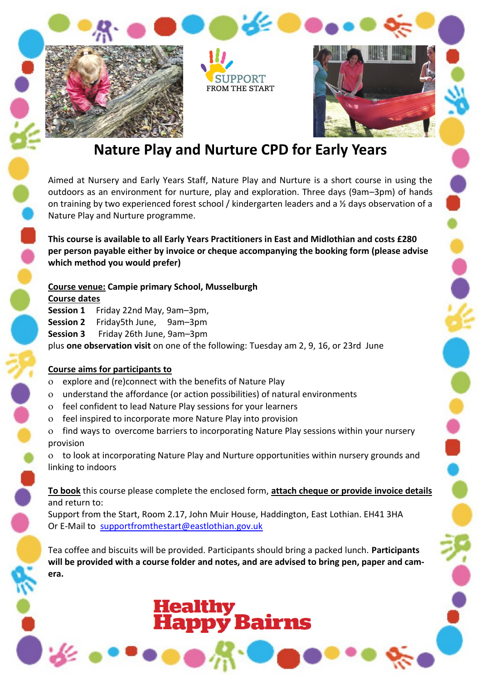

# **Nature Play and Nurture CPD for Early Years**

Aimed at Nursery and Early Years Staff, Nature Play and Nurture is a short course in using the outdoors as an environment for nurture, play and exploration. Three days (9am–3pm) of hands on training by two experienced forest school / kindergarten leaders and a ½ days observation of a Nature Play and Nurture programme.

**This course is available to all Early Years Practitioners in East and Midlothian and costs £280 per person payable either by invoice or cheque accompanying the booking form (please advise which method you would prefer)**

#### **Course venue: Campie primary School, Musselburgh**

**Course dates**

**Session 1** Friday 22nd May, 9am–3pm, **Session 2** Friday5th June, 9am–3pm **Session 3** Friday 26th June, 9am–3pm plus **one observation visit** on one of the following: Tuesday am 2, 9, 16, or 23rd June

#### **Course aims for participants to**

- explore and (re)connect with the benefits of Nature Play
- understand the affordance (or action possibilities) of natural environments
- feel confident to lead Nature Play sessions for your learners
- feel inspired to incorporate more Nature Play into provision
- find ways to overcome barriers to incorporating Nature Play sessions within your nursery provision

 to look at incorporating Nature Play and Nurture opportunities within nursery grounds and linking to indoors

**To book** this course please complete the enclosed form, **attach cheque or provide invoice details**  and return to:

Support from the Start, Room 2.17, John Muir House, Haddington, East Lothian. EH41 3HA Or E-Mail to supportfromthestart@eastlothian.gov.uk

Tea coffee and biscuits will be provided. Participants should bring a packed lunch. **Participants will be provided with a course folder and notes, and are advised to bring pen, paper and camera.**

Healthy<br>**Happy Bairns**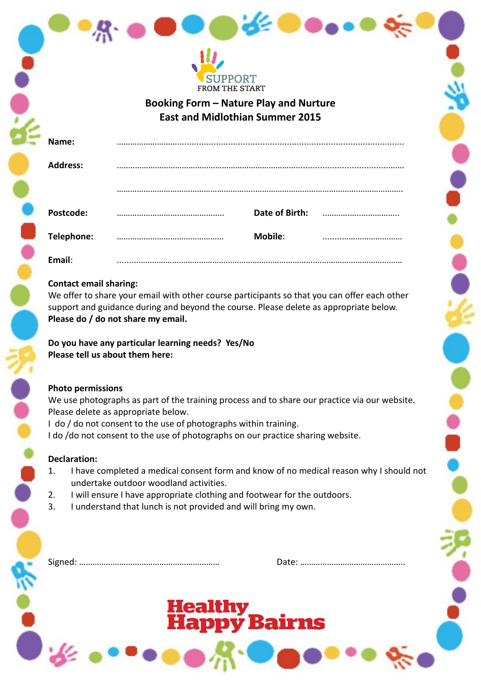

**Booking Form – Nature Play and Nurture East and Midlothian Summer 2015**

| Name:           |                |  |
|-----------------|----------------|--|
| <b>Address:</b> |                |  |
|                 |                |  |
| Postcode:       | Date of Birth: |  |
| Telephone:      | <b>Mobile:</b> |  |
| Email:          |                |  |

## **Contact email sharing:**

We offer to share your email with other course participants so that you can offer each other support and guidance during and beyond the course. Please delete as appropriate below. **Please do / do not share my email.** 

**Do you have any particular learning needs? Yes/No Please tell us about them here:**

#### **Photo permissions**

We use photographs as part of the training process and to share our practice via our website. Please delete as appropriate below.

I do / do not consent to the use of photographs within training.

I do /do not consent to the use of photographs on our practice sharing website.

## **Declaration:**

- 1. I have completed a medical consent form and know of no medical reason why I should not undertake outdoor woodland activities.
- 2. I will ensure I have appropriate clothing and footwear for the outdoors.
- 3. I understand that lunch is not provided and will bring my own.

Signed: ……………………………………………………… Date: ………………………………………..

# Healthy<br><mark>Happy Bairn</mark>s